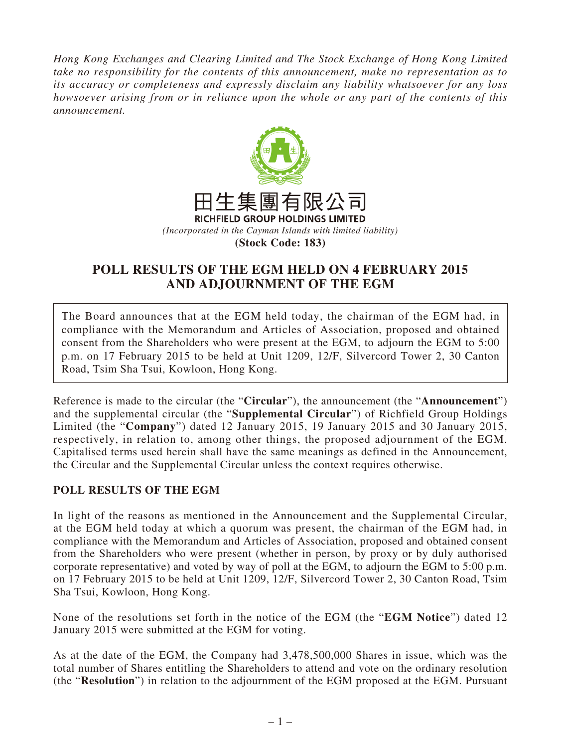*Hong Kong Exchanges and Clearing Limited and The Stock Exchange of Hong Kong Limited take no responsibility for the contents of this announcement, make no representation as to its accuracy or completeness and expressly disclaim any liability whatsoever for any loss howsoever arising from or in reliance upon the whole or any part of the contents of this announcement.*



## **POLL RESULTS OF THE EGM HELD ON 4 FEBRUARY 2015 AND ADJOURNMENT OF THE EGM**

The Board announces that at the EGM held today, the chairman of the EGM had, in compliance with the Memorandum and Articles of Association, proposed and obtained consent from the Shareholders who were present at the EGM, to adjourn the EGM to 5:00 p.m. on 17 February 2015 to be held at Unit 1209, 12/F, Silvercord Tower 2, 30 Canton Road, Tsim Sha Tsui, Kowloon, Hong Kong.

Reference is made to the circular (the "**Circular**"), the announcement (the "**Announcement**") and the supplemental circular (the "**Supplemental Circular**") of Richfield Group Holdings Limited (the "**Company**") dated 12 January 2015, 19 January 2015 and 30 January 2015, respectively, in relation to, among other things, the proposed adjournment of the EGM. Capitalised terms used herein shall have the same meanings as defined in the Announcement, the Circular and the Supplemental Circular unless the context requires otherwise.

## **POLL RESULTS OF THE EGM**

In light of the reasons as mentioned in the Announcement and the Supplemental Circular, at the EGM held today at which a quorum was present, the chairman of the EGM had, in compliance with the Memorandum and Articles of Association, proposed and obtained consent from the Shareholders who were present (whether in person, by proxy or by duly authorised corporate representative) and voted by way of poll at the EGM, to adjourn the EGM to 5:00 p.m. on 17 February 2015 to be held at Unit 1209, 12/F, Silvercord Tower 2, 30 Canton Road, Tsim Sha Tsui, Kowloon, Hong Kong.

None of the resolutions set forth in the notice of the EGM (the "**EGM Notice**") dated 12 January 2015 were submitted at the EGM for voting.

As at the date of the EGM, the Company had 3,478,500,000 Shares in issue, which was the total number of Shares entitling the Shareholders to attend and vote on the ordinary resolution (the "**Resolution**") in relation to the adjournment of the EGM proposed at the EGM. Pursuant